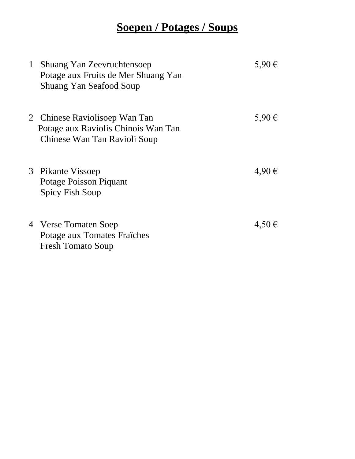## **Soepen / Potages / Soups**

| $\mathbf{1}$ | Shuang Yan Zeevruchtensoep<br>Potage aux Fruits de Mer Shuang Yan<br><b>Shuang Yan Seafood Soup</b>  | 5,90 €     |
|--------------|------------------------------------------------------------------------------------------------------|------------|
|              | 2 Chinese Raviolisoep Wan Tan<br>Potage aux Raviolis Chinois Wan Tan<br>Chinese Wan Tan Ravioli Soup | 5,90 €     |
|              | 3 Pikante Vissoep<br>Potage Poisson Piquant<br>Spicy Fish Soup                                       | $4,90 \in$ |
|              | 4 Verse Tomaten Soep<br>Potage aux Tomates Fraîches<br><b>Fresh Tomato Soup</b>                      | $4,50 \in$ |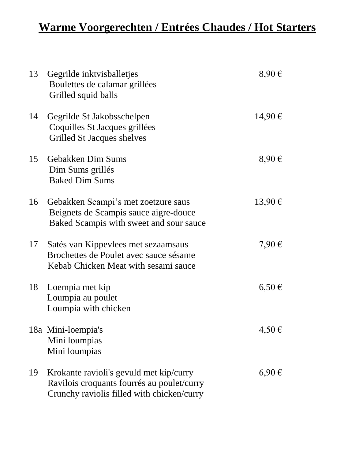## **Warme Voorgerechten / Entrées Chaudes / Hot Starters**

| 13 | Gegrilde inktvisballetjes<br>Boulettes de calamar grillées<br>Grilled squid balls                                                   | $8,90 \in$ |
|----|-------------------------------------------------------------------------------------------------------------------------------------|------------|
| 14 | Gegrilde St Jakobsschelpen<br>Coquilles St Jacques grillées<br>Grilled St Jacques shelves                                           | 14,90€     |
| 15 | Gebakken Dim Sums<br>Dim Sums grillés<br><b>Baked Dim Sums</b>                                                                      | $8,90 \in$ |
| 16 | Gebakken Scampi's met zoetzure saus<br>Beignets de Scampis sauce aigre-douce<br>Baked Scampis with sweet and sour sauce             | 13,90€     |
| 17 | Satés van Kippevlees met sezaamsaus<br>Brochettes de Poulet avec sauce sésame<br>Kebab Chicken Meat with sesami sauce               | 7,90 €     |
| 18 | Loempia met kip<br>Loumpia au poulet<br>Loumpia with chicken                                                                        | $6,50 \in$ |
|    | 18a Mini-loempia's<br>Mini loumpias<br>Mini loumpias                                                                                | 4,50€      |
| 19 | Krokante ravioli's gevuld met kip/curry<br>Ravilois croquants fourrés au poulet/curry<br>Crunchy raviolis filled with chicken/curry | $6,90 \in$ |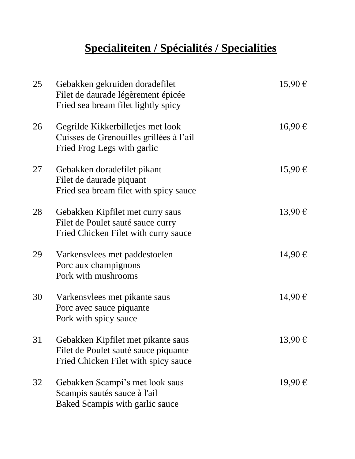# **Specialiteiten / Spécialités / Specialities**

| 25 | Gebakken gekruiden doradefilet<br>Filet de daurade légèrement épicée<br>Fried sea bream filet lightly spicy        | 15,90€ |
|----|--------------------------------------------------------------------------------------------------------------------|--------|
| 26 | Gegrilde Kikkerbilletjes met look<br>Cuisses de Grenouilles grillées à l'ail<br>Fried Frog Legs with garlic        | 16,90€ |
| 27 | Gebakken doradefilet pikant<br>Filet de daurade piquant<br>Fried sea bream filet with spicy sauce                  | 15,90€ |
| 28 | Gebakken Kipfilet met curry saus<br>Filet de Poulet sauté sauce curry<br>Fried Chicken Filet with curry sauce      | 13,90€ |
| 29 | Varkensvlees met paddestoelen<br>Porc aux champignons<br>Pork with mushrooms                                       | 14,90€ |
| 30 | Varkensylees met pikante saus<br>Porc avec sauce piquante<br>Pork with spicy sauce                                 | 14,90€ |
| 31 | Gebakken Kipfilet met pikante saus<br>Filet de Poulet sauté sauce piquante<br>Fried Chicken Filet with spicy sauce | 13,90€ |
| 32 | Gebakken Scampi's met look saus<br>Scampis sautés sauce à l'ail<br>Baked Scampis with garlic sauce                 | 19,90€ |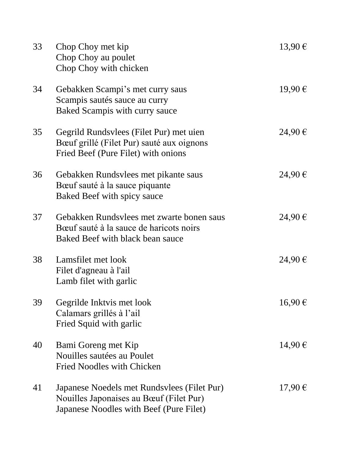| 33 | Chop Choy met kip<br>Chop Choy au poulet<br>Chop Choy with chicken                                                                | 13,90€      |
|----|-----------------------------------------------------------------------------------------------------------------------------------|-------------|
| 34 | Gebakken Scampi's met curry saus<br>Scampis sautés sauce au curry<br>Baked Scampis with curry sauce                               | 19,90€      |
| 35 | Gegrild Rundsvlees (Filet Pur) met uien<br>Bœuf grillé (Filet Pur) sauté aux oignons<br>Fried Beef (Pure Filet) with onions       | 24,90€      |
| 36 | Gebakken Rundsvlees met pikante saus<br>Bœuf sauté à la sauce piquante<br>Baked Beef with spicy sauce                             | 24,90€      |
| 37 | Gebakken Rundsvlees met zwarte bonen saus<br>Bœuf sauté à la sauce de haricots noirs<br>Baked Beef with black bean sauce          | 24,90€      |
| 38 | Lamsfilet met look<br>Filet d'agneau à l'ail<br>Lamb filet with garlic                                                            | 24,90€      |
| 39 | Gegrilde Inktvis met look<br>Calamars grillés à l'ail<br>Fried Squid with garlic                                                  | 16,90€      |
| 40 | Bami Goreng met Kip<br>Nouilles sautées au Poulet<br><b>Fried Noodles with Chicken</b>                                            | 14,90€      |
| 41 | Japanese Noedels met Rundsvlees (Filet Pur)<br>Nouilles Japonaises au Bœuf (Filet Pur)<br>Japanese Noodles with Beef (Pure Filet) | $17,90 \in$ |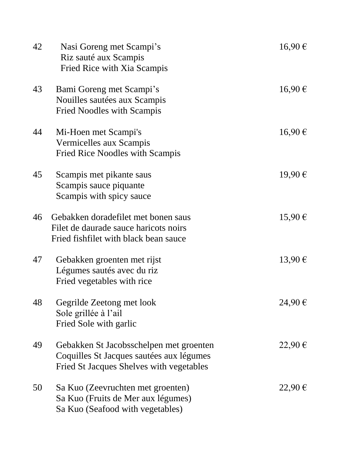| 42 | Nasi Goreng met Scampi's<br>Riz sauté aux Scampis<br>Fried Rice with Xia Scampis                                                | 16,90€ |
|----|---------------------------------------------------------------------------------------------------------------------------------|--------|
| 43 | Bami Goreng met Scampi's<br>Nouilles sautées aux Scampis<br><b>Fried Noodles with Scampis</b>                                   | 16,90€ |
| 44 | Mi-Hoen met Scampi's<br>Vermicelles aux Scampis<br><b>Fried Rice Noodles with Scampis</b>                                       | 16,90€ |
| 45 | Scampis met pikante saus<br>Scampis sauce piquante<br>Scampis with spicy sauce                                                  | 19,90€ |
| 46 | Gebakken doradefilet met bonen saus<br>Filet de daurade sauce haricots noirs<br>Fried fishfilet with black bean sauce           | 15,90€ |
| 47 | Gebakken groenten met rijst<br>Légumes sautés avec du riz<br>Fried vegetables with rice                                         | 13,90€ |
| 48 | Gegrilde Zeetong met look<br>Sole grillée à l'ail<br>Fried Sole with garlic                                                     | 24,90€ |
| 49 | Gebakken St Jacobsschelpen met groenten<br>Coquilles St Jacques sautées aux légumes<br>Fried St Jacques Shelves with vegetables | 22,90€ |
| 50 | Sa Kuo (Zeevruchten met groenten)<br>Sa Kuo (Fruits de Mer aux légumes)<br>Sa Kuo (Seafood with vegetables)                     | 22,90€ |